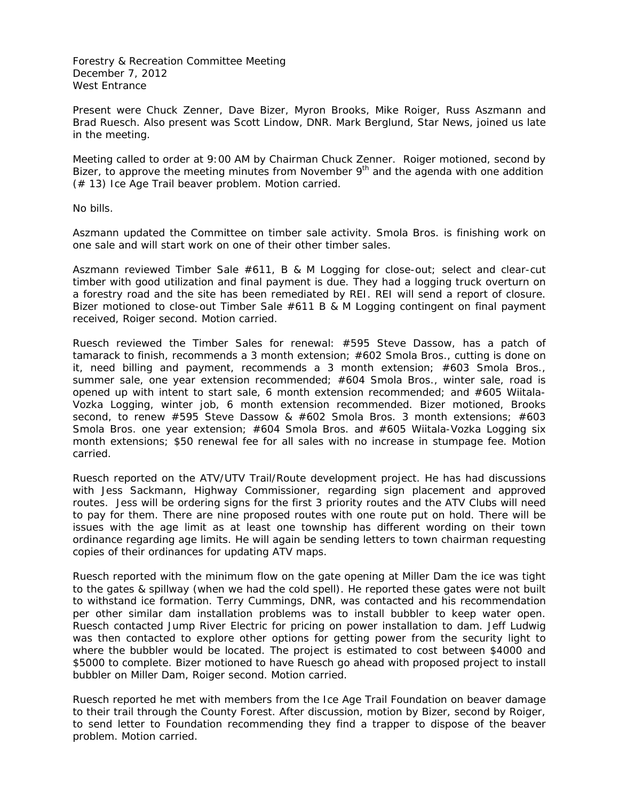Forestry & Recreation Committee Meeting December 7, 2012 West Entrance

Present were Chuck Zenner, Dave Bizer, Myron Brooks, Mike Roiger, Russ Aszmann and Brad Ruesch. Also present was Scott Lindow, DNR. Mark Berglund, Star News, joined us late in the meeting.

Meeting called to order at 9:00 AM by Chairman Chuck Zenner. Roiger motioned, second by Bizer, to approve the meeting minutes from November  $9<sup>th</sup>$  and the agenda with one addition (# 13) Ice Age Trail beaver problem. Motion carried.

No bills.

Aszmann updated the Committee on timber sale activity. Smola Bros. is finishing work on one sale and will start work on one of their other timber sales.

Aszmann reviewed Timber Sale #611, B & M Logging for close-out; select and clear-cut timber with good utilization and final payment is due. They had a logging truck overturn on a forestry road and the site has been remediated by REI. REI will send a report of closure. Bizer motioned to close-out Timber Sale #611 B & M Logging contingent on final payment received, Roiger second. Motion carried.

Ruesch reviewed the Timber Sales for renewal: #595 Steve Dassow, has a patch of tamarack to finish, recommends a 3 month extension; #602 Smola Bros., cutting is done on it, need billing and payment, recommends a 3 month extension; #603 Smola Bros., summer sale, one year extension recommended; #604 Smola Bros., winter sale, road is opened up with intent to start sale, 6 month extension recommended; and #605 Wiitala-Vozka Logging, winter job, 6 month extension recommended. Bizer motioned, Brooks second, to renew #595 Steve Dassow & #602 Smola Bros. 3 month extensions; #603 Smola Bros. one year extension; #604 Smola Bros. and #605 Wiitala-Vozka Logging six month extensions; \$50 renewal fee for all sales with no increase in stumpage fee. Motion carried.

Ruesch reported on the ATV/UTV Trail/Route development project. He has had discussions with Jess Sackmann, Highway Commissioner, regarding sign placement and approved routes. Jess will be ordering signs for the first 3 priority routes and the ATV Clubs will need to pay for them. There are nine proposed routes with one route put on hold. There will be issues with the age limit as at least one township has different wording on their town ordinance regarding age limits. He will again be sending letters to town chairman requesting copies of their ordinances for updating ATV maps.

Ruesch reported with the minimum flow on the gate opening at Miller Dam the ice was tight to the gates & spillway (when we had the cold spell). He reported these gates were not built to withstand ice formation. Terry Cummings, DNR, was contacted and his recommendation per other similar dam installation problems was to install bubbler to keep water open. Ruesch contacted Jump River Electric for pricing on power installation to dam. Jeff Ludwig was then contacted to explore other options for getting power from the security light to where the bubbler would be located. The project is estimated to cost between \$4000 and \$5000 to complete. Bizer motioned to have Ruesch go ahead with proposed project to install bubbler on Miller Dam, Roiger second. Motion carried.

Ruesch reported he met with members from the Ice Age Trail Foundation on beaver damage to their trail through the County Forest. After discussion, motion by Bizer, second by Roiger, to send letter to Foundation recommending they find a trapper to dispose of the beaver problem. Motion carried.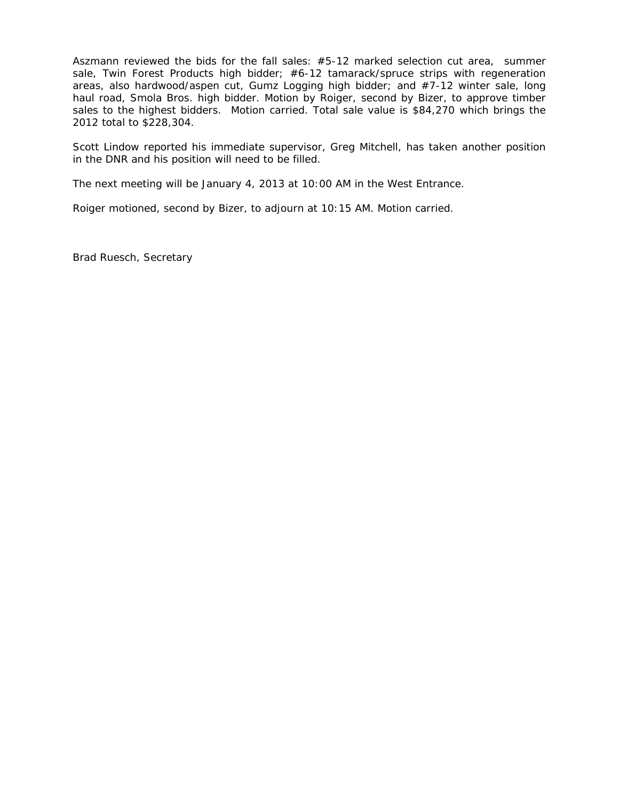Aszmann reviewed the bids for the fall sales: #5-12 marked selection cut area, summer sale, Twin Forest Products high bidder; #6-12 tamarack/spruce strips with regeneration areas, also hardwood/aspen cut, Gumz Logging high bidder; and #7-12 winter sale, long haul road, Smola Bros. high bidder. Motion by Roiger, second by Bizer, to approve timber sales to the highest bidders. Motion carried. Total sale value is \$84,270 which brings the 2012 total to \$228,304.

Scott Lindow reported his immediate supervisor, Greg Mitchell, has taken another position in the DNR and his position will need to be filled.

The next meeting will be January 4, 2013 at 10:00 AM in the West Entrance.

Roiger motioned, second by Bizer, to adjourn at 10:15 AM. Motion carried.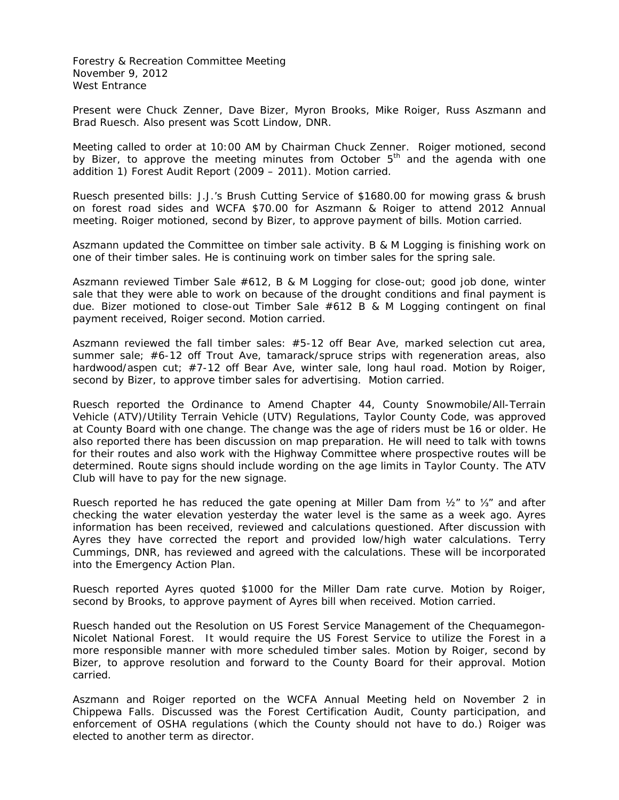Forestry & Recreation Committee Meeting November 9, 2012 West Entrance

Present were Chuck Zenner, Dave Bizer, Myron Brooks, Mike Roiger, Russ Aszmann and Brad Ruesch. Also present was Scott Lindow, DNR.

Meeting called to order at 10:00 AM by Chairman Chuck Zenner. Roiger motioned, second by Bizer, to approve the meeting minutes from October  $5<sup>th</sup>$  and the agenda with one addition 1) Forest Audit Report (2009 – 2011). Motion carried.

Ruesch presented bills: J.J.'s Brush Cutting Service of \$1680.00 for mowing grass & brush on forest road sides and WCFA \$70.00 for Aszmann & Roiger to attend 2012 Annual meeting. Roiger motioned, second by Bizer, to approve payment of bills. Motion carried.

Aszmann updated the Committee on timber sale activity. B & M Logging is finishing work on one of their timber sales. He is continuing work on timber sales for the spring sale.

Aszmann reviewed Timber Sale #612, B & M Logging for close-out; good job done, winter sale that they were able to work on because of the drought conditions and final payment is due. Bizer motioned to close-out Timber Sale #612 B & M Logging contingent on final payment received, Roiger second. Motion carried.

Aszmann reviewed the fall timber sales: #5-12 off Bear Ave, marked selection cut area, summer sale; #6-12 off Trout Ave, tamarack/spruce strips with regeneration areas, also hardwood/aspen cut; #7-12 off Bear Ave, winter sale, long haul road. Motion by Roiger, second by Bizer, to approve timber sales for advertising. Motion carried.

Ruesch reported the Ordinance to Amend Chapter 44, County Snowmobile/All-Terrain Vehicle (ATV)/Utility Terrain Vehicle (UTV) Regulations, Taylor County Code, was approved at County Board with one change. The change was the age of riders must be 16 or older. He also reported there has been discussion on map preparation. He will need to talk with towns for their routes and also work with the Highway Committee where prospective routes will be determined. Route signs should include wording on the age limits in Taylor County. The ATV Club will have to pay for the new signage.

Ruesch reported he has reduced the gate opening at Miller Dam from ½" to ⅓" and after checking the water elevation yesterday the water level is the same as a week ago. Ayres information has been received, reviewed and calculations questioned. After discussion with Ayres they have corrected the report and provided low/high water calculations. Terry Cummings, DNR, has reviewed and agreed with the calculations. These will be incorporated into the Emergency Action Plan.

Ruesch reported Ayres quoted \$1000 for the Miller Dam rate curve. Motion by Roiger, second by Brooks, to approve payment of Ayres bill when received. Motion carried.

Ruesch handed out the Resolution on US Forest Service Management of the Chequamegon-Nicolet National Forest. It would require the US Forest Service to utilize the Forest in a more responsible manner with more scheduled timber sales. Motion by Roiger, second by Bizer, to approve resolution and forward to the County Board for their approval. Motion carried.

Aszmann and Roiger reported on the WCFA Annual Meeting held on November 2 in Chippewa Falls. Discussed was the Forest Certification Audit, County participation, and enforcement of OSHA regulations (which the County should not have to do.) Roiger was elected to another term as director.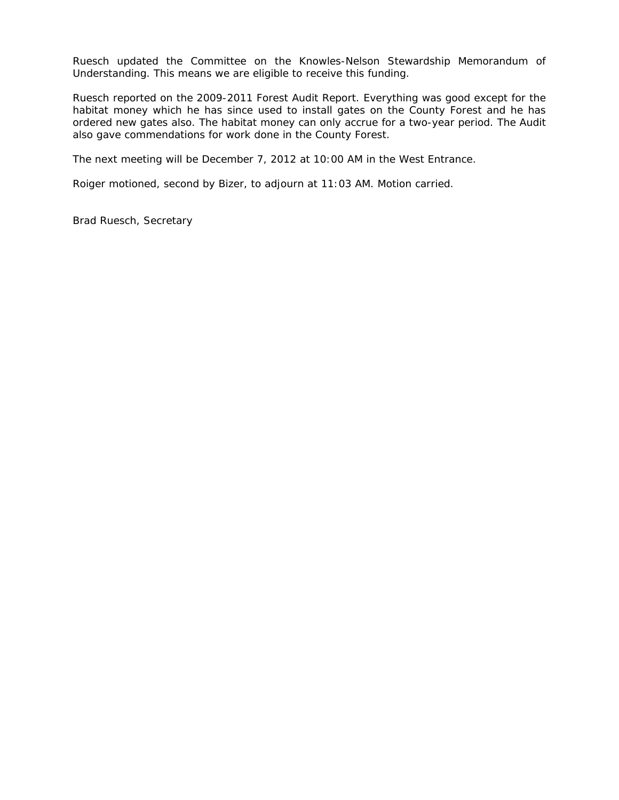Ruesch updated the Committee on the Knowles-Nelson Stewardship Memorandum of Understanding. This means we are eligible to receive this funding.

Ruesch reported on the 2009-2011 Forest Audit Report. Everything was good except for the habitat money which he has since used to install gates on the County Forest and he has ordered new gates also. The habitat money can only accrue for a two-year period. The Audit also gave commendations for work done in the County Forest.

The next meeting will be December 7, 2012 at 10:00 AM in the West Entrance.

Roiger motioned, second by Bizer, to adjourn at 11:03 AM. Motion carried.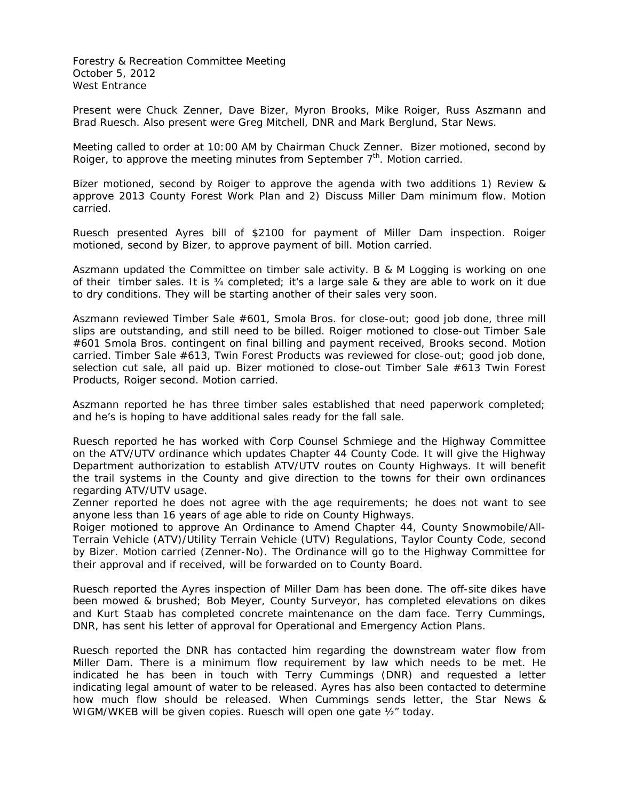Forestry & Recreation Committee Meeting October 5, 2012 West Entrance

Present were Chuck Zenner, Dave Bizer, Myron Brooks, Mike Roiger, Russ Aszmann and Brad Ruesch. Also present were Greg Mitchell, DNR and Mark Berglund, Star News.

Meeting called to order at 10:00 AM by Chairman Chuck Zenner. Bizer motioned, second by Roiger, to approve the meeting minutes from September 7<sup>th</sup>. Motion carried.

Bizer motioned, second by Roiger to approve the agenda with two additions 1) Review & approve 2013 County Forest Work Plan and 2) Discuss Miller Dam minimum flow. Motion carried.

Ruesch presented Ayres bill of \$2100 for payment of Miller Dam inspection. Roiger motioned, second by Bizer, to approve payment of bill. Motion carried.

Aszmann updated the Committee on timber sale activity. B & M Logging is working on one of their timber sales. It is  $\frac{3}{4}$  completed; it's a large sale & they are able to work on it due to dry conditions. They will be starting another of their sales very soon.

Aszmann reviewed Timber Sale #601, Smola Bros. for close-out; good job done, three mill slips are outstanding, and still need to be billed. Roiger motioned to close-out Timber Sale #601 Smola Bros. contingent on final billing and payment received, Brooks second. Motion carried. Timber Sale #613, Twin Forest Products was reviewed for close-out; good job done, selection cut sale, all paid up. Bizer motioned to close-out Timber Sale #613 Twin Forest Products, Roiger second. Motion carried.

Aszmann reported he has three timber sales established that need paperwork completed; and he's is hoping to have additional sales ready for the fall sale.

Ruesch reported he has worked with Corp Counsel Schmiege and the Highway Committee on the ATV/UTV ordinance which updates Chapter 44 County Code. It will give the Highway Department authorization to establish ATV/UTV routes on County Highways. It will benefit the trail systems in the County and give direction to the towns for their own ordinances regarding ATV/UTV usage.

Zenner reported he does not agree with the age requirements; he does not want to see anyone less than 16 years of age able to ride on County Highways.

Roiger motioned to approve An Ordinance to Amend Chapter 44, County Snowmobile/All-Terrain Vehicle (ATV)/Utility Terrain Vehicle (UTV) Regulations, Taylor County Code, second by Bizer. Motion carried (Zenner-No). The Ordinance will go to the Highway Committee for their approval and if received, will be forwarded on to County Board.

Ruesch reported the Ayres inspection of Miller Dam has been done. The off-site dikes have been mowed & brushed; Bob Meyer, County Surveyor, has completed elevations on dikes and Kurt Staab has completed concrete maintenance on the dam face. Terry Cummings, DNR, has sent his letter of approval for Operational and Emergency Action Plans.

Ruesch reported the DNR has contacted him regarding the downstream water flow from Miller Dam. There is a minimum flow requirement by law which needs to be met. He indicated he has been in touch with Terry Cummings (DNR) and requested a letter indicating legal amount of water to be released. Ayres has also been contacted to determine how much flow should be released. When Cummings sends letter, the Star News & WIGM/WKEB will be given copies. Ruesch will open one gate  $\frac{1}{2}$  today.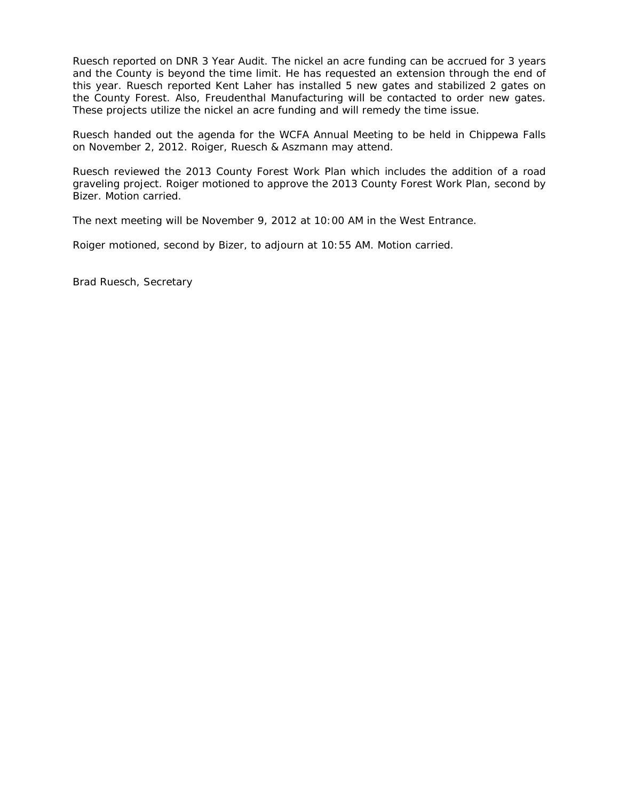Ruesch reported on DNR 3 Year Audit. The nickel an acre funding can be accrued for 3 years and the County is beyond the time limit. He has requested an extension through the end of this year. Ruesch reported Kent Laher has installed 5 new gates and stabilized 2 gates on the County Forest. Also, Freudenthal Manufacturing will be contacted to order new gates. These projects utilize the nickel an acre funding and will remedy the time issue.

Ruesch handed out the agenda for the WCFA Annual Meeting to be held in Chippewa Falls on November 2, 2012. Roiger, Ruesch & Aszmann may attend.

Ruesch reviewed the 2013 County Forest Work Plan which includes the addition of a road graveling project. Roiger motioned to approve the 2013 County Forest Work Plan, second by Bizer. Motion carried.

The next meeting will be November 9, 2012 at 10:00 AM in the West Entrance.

Roiger motioned, second by Bizer, to adjourn at 10:55 AM. Motion carried.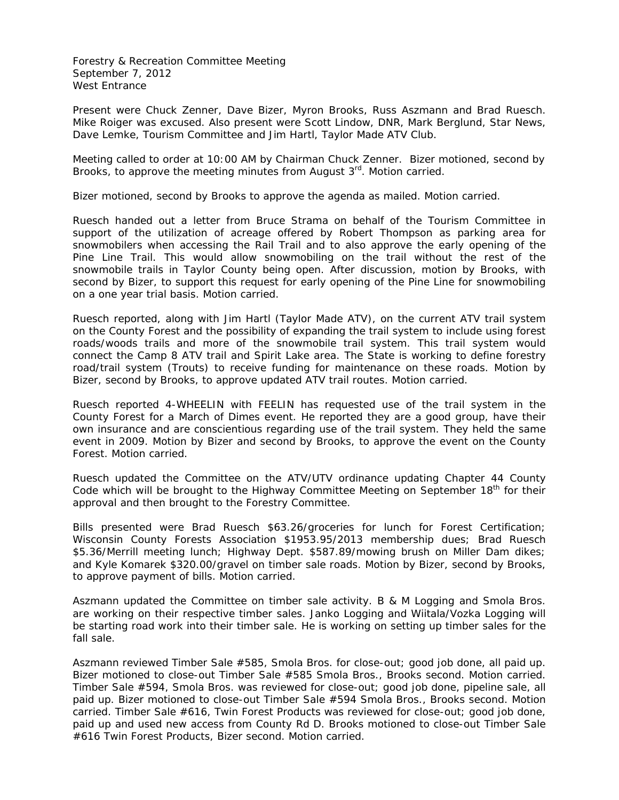Forestry & Recreation Committee Meeting September 7, 2012 West Entrance

Present were Chuck Zenner, Dave Bizer, Myron Brooks, Russ Aszmann and Brad Ruesch. Mike Roiger was excused. Also present were Scott Lindow, DNR, Mark Berglund, Star News, Dave Lemke, Tourism Committee and Jim Hartl, Taylor Made ATV Club.

Meeting called to order at 10:00 AM by Chairman Chuck Zenner. Bizer motioned, second by Brooks, to approve the meeting minutes from August  $3<sup>rd</sup>$ . Motion carried.

Bizer motioned, second by Brooks to approve the agenda as mailed. Motion carried.

Ruesch handed out a letter from Bruce Strama on behalf of the Tourism Committee in support of the utilization of acreage offered by Robert Thompson as parking area for snowmobilers when accessing the Rail Trail and to also approve the early opening of the Pine Line Trail. This would allow snowmobiling on the trail without the rest of the snowmobile trails in Taylor County being open. After discussion, motion by Brooks, with second by Bizer, to support this request for early opening of the Pine Line for snowmobiling on a one year trial basis. Motion carried.

Ruesch reported, along with Jim Hartl (Taylor Made ATV), on the current ATV trail system on the County Forest and the possibility of expanding the trail system to include using forest roads/woods trails and more of the snowmobile trail system. This trail system would connect the Camp 8 ATV trail and Spirit Lake area. The State is working to define forestry road/trail system (Trouts) to receive funding for maintenance on these roads. Motion by Bizer, second by Brooks, to approve updated ATV trail routes. Motion carried.

Ruesch reported 4-WHEELIN with FEELIN has requested use of the trail system in the County Forest for a March of Dimes event. He reported they are a good group, have their own insurance and are conscientious regarding use of the trail system. They held the same event in 2009. Motion by Bizer and second by Brooks, to approve the event on the County Forest. Motion carried.

Ruesch updated the Committee on the ATV/UTV ordinance updating Chapter 44 County Code which will be brought to the Highway Committee Meeting on September 18<sup>th</sup> for their approval and then brought to the Forestry Committee.

Bills presented were Brad Ruesch \$63.26/groceries for lunch for Forest Certification; Wisconsin County Forests Association \$1953.95/2013 membership dues; Brad Ruesch \$5.36/Merrill meeting lunch; Highway Dept. \$587.89/mowing brush on Miller Dam dikes; and Kyle Komarek \$320.00/gravel on timber sale roads. Motion by Bizer, second by Brooks, to approve payment of bills. Motion carried.

Aszmann updated the Committee on timber sale activity. B & M Logging and Smola Bros. are working on their respective timber sales. Janko Logging and Wiitala/Vozka Logging will be starting road work into their timber sale. He is working on setting up timber sales for the fall sale.

Aszmann reviewed Timber Sale #585, Smola Bros. for close-out; good job done, all paid up. Bizer motioned to close-out Timber Sale #585 Smola Bros., Brooks second. Motion carried. Timber Sale #594, Smola Bros. was reviewed for close-out; good job done, pipeline sale, all paid up. Bizer motioned to close-out Timber Sale #594 Smola Bros., Brooks second. Motion carried. Timber Sale #616, Twin Forest Products was reviewed for close-out; good job done, paid up and used new access from County Rd D. Brooks motioned to close-out Timber Sale #616 Twin Forest Products, Bizer second. Motion carried.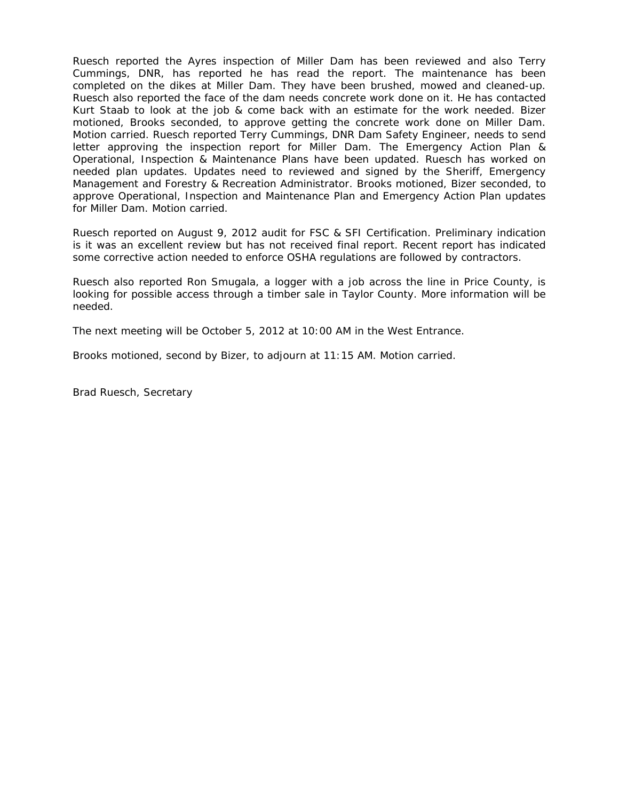Ruesch reported the Ayres inspection of Miller Dam has been reviewed and also Terry Cummings, DNR, has reported he has read the report. The maintenance has been completed on the dikes at Miller Dam. They have been brushed, mowed and cleaned-up. Ruesch also reported the face of the dam needs concrete work done on it. He has contacted Kurt Staab to look at the job & come back with an estimate for the work needed. Bizer motioned, Brooks seconded, to approve getting the concrete work done on Miller Dam. Motion carried. Ruesch reported Terry Cummings, DNR Dam Safety Engineer, needs to send letter approving the inspection report for Miller Dam. The Emergency Action Plan & Operational, Inspection & Maintenance Plans have been updated. Ruesch has worked on needed plan updates. Updates need to reviewed and signed by the Sheriff, Emergency Management and Forestry & Recreation Administrator. Brooks motioned, Bizer seconded, to approve Operational, Inspection and Maintenance Plan and Emergency Action Plan updates for Miller Dam. Motion carried.

Ruesch reported on August 9, 2012 audit for FSC & SFI Certification. Preliminary indication is it was an excellent review but has not received final report. Recent report has indicated some corrective action needed to enforce OSHA regulations are followed by contractors.

Ruesch also reported Ron Smugala, a logger with a job across the line in Price County, is looking for possible access through a timber sale in Taylor County. More information will be needed.

The next meeting will be October 5, 2012 at 10:00 AM in the West Entrance.

Brooks motioned, second by Bizer, to adjourn at 11:15 AM. Motion carried.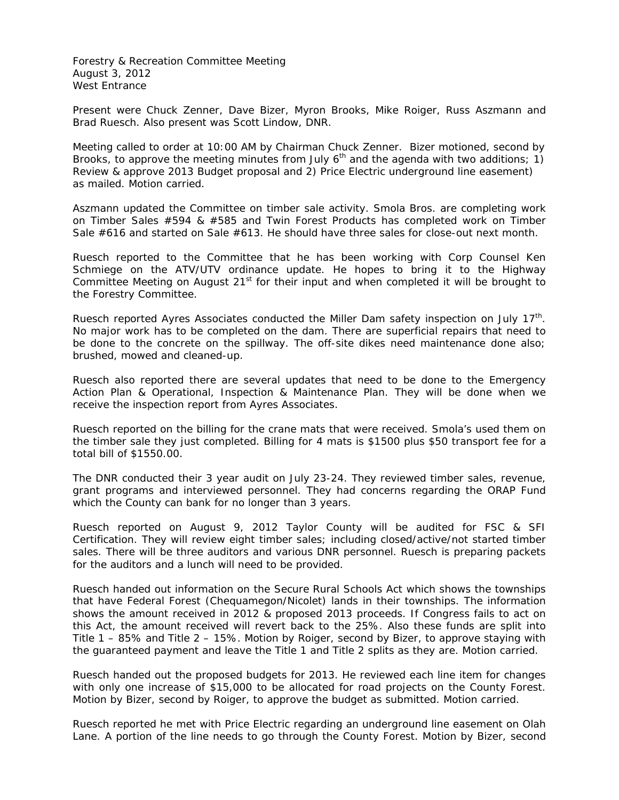Forestry & Recreation Committee Meeting August 3, 2012 West Entrance

Present were Chuck Zenner, Dave Bizer, Myron Brooks, Mike Roiger, Russ Aszmann and Brad Ruesch. Also present was Scott Lindow, DNR.

Meeting called to order at 10:00 AM by Chairman Chuck Zenner. Bizer motioned, second by Brooks, to approve the meeting minutes from July  $6<sup>th</sup>$  and the agenda with two additions; 1) Review & approve 2013 Budget proposal and 2) Price Electric underground line easement) as mailed. Motion carried.

Aszmann updated the Committee on timber sale activity. Smola Bros. are completing work on Timber Sales #594 & #585 and Twin Forest Products has completed work on Timber Sale #616 and started on Sale #613. He should have three sales for close-out next month.

Ruesch reported to the Committee that he has been working with Corp Counsel Ken Schmiege on the ATV/UTV ordinance update. He hopes to bring it to the Highway Committee Meeting on August  $21<sup>st</sup>$  for their input and when completed it will be brought to the Forestry Committee.

Ruesch reported Ayres Associates conducted the Miller Dam safety inspection on July  $17<sup>th</sup>$ . No major work has to be completed on the dam. There are superficial repairs that need to be done to the concrete on the spillway. The off-site dikes need maintenance done also; brushed, mowed and cleaned-up.

Ruesch also reported there are several updates that need to be done to the Emergency Action Plan & Operational, Inspection & Maintenance Plan. They will be done when we receive the inspection report from Ayres Associates.

Ruesch reported on the billing for the crane mats that were received. Smola's used them on the timber sale they just completed. Billing for 4 mats is \$1500 plus \$50 transport fee for a total bill of \$1550.00.

The DNR conducted their 3 year audit on July 23-24. They reviewed timber sales, revenue, grant programs and interviewed personnel. They had concerns regarding the ORAP Fund which the County can bank for no longer than 3 years.

Ruesch reported on August 9, 2012 Taylor County will be audited for FSC & SFI Certification. They will review eight timber sales; including closed/active/not started timber sales. There will be three auditors and various DNR personnel. Ruesch is preparing packets for the auditors and a lunch will need to be provided.

Ruesch handed out information on the Secure Rural Schools Act which shows the townships that have Federal Forest (Chequamegon/Nicolet) lands in their townships. The information shows the amount received in 2012 & proposed 2013 proceeds. If Congress fails to act on this Act, the amount received will revert back to the 25%. Also these funds are split into Title 1 – 85% and Title 2 – 15%. Motion by Roiger, second by Bizer, to approve staying with the guaranteed payment and leave the Title 1 and Title 2 splits as they are. Motion carried.

Ruesch handed out the proposed budgets for 2013. He reviewed each line item for changes with only one increase of \$15,000 to be allocated for road projects on the County Forest. Motion by Bizer, second by Roiger, to approve the budget as submitted. Motion carried.

Ruesch reported he met with Price Electric regarding an underground line easement on Olah Lane. A portion of the line needs to go through the County Forest. Motion by Bizer, second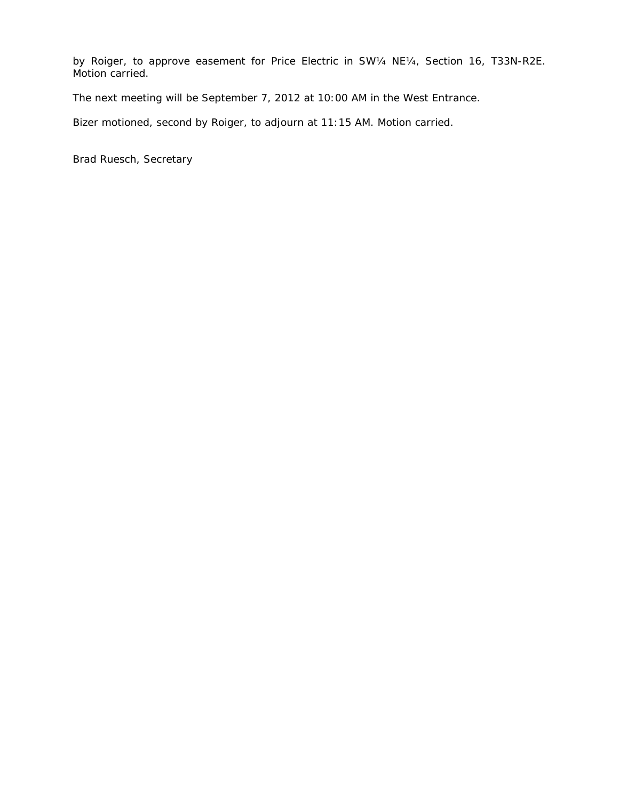by Roiger, to approve easement for Price Electric in SW¼ NE¼, Section 16, T33N-R2E. Motion carried.

The next meeting will be September 7, 2012 at 10:00 AM in the West Entrance.

Bizer motioned, second by Roiger, to adjourn at 11:15 AM. Motion carried.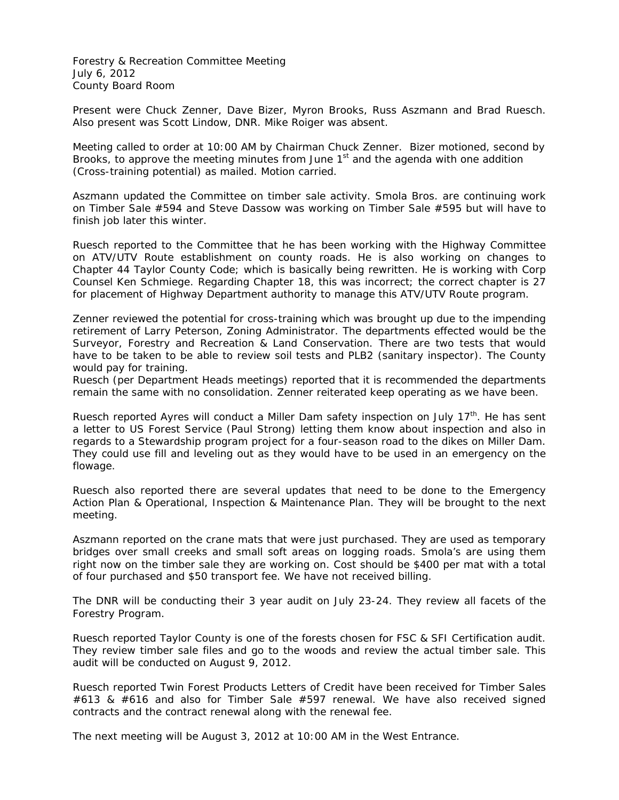Forestry & Recreation Committee Meeting July 6, 2012 County Board Room

Present were Chuck Zenner, Dave Bizer, Myron Brooks, Russ Aszmann and Brad Ruesch. Also present was Scott Lindow, DNR. Mike Roiger was absent.

Meeting called to order at 10:00 AM by Chairman Chuck Zenner. Bizer motioned, second by Brooks, to approve the meeting minutes from June  $1<sup>st</sup>$  and the agenda with one addition (Cross-training potential) as mailed. Motion carried.

Aszmann updated the Committee on timber sale activity. Smola Bros. are continuing work on Timber Sale #594 and Steve Dassow was working on Timber Sale #595 but will have to finish job later this winter.

Ruesch reported to the Committee that he has been working with the Highway Committee on ATV/UTV Route establishment on county roads. He is also working on changes to Chapter 44 Taylor County Code; which is basically being rewritten. He is working with Corp Counsel Ken Schmiege. Regarding Chapter 18, this was incorrect; the correct chapter is 27 for placement of Highway Department authority to manage this ATV/UTV Route program.

Zenner reviewed the potential for cross-training which was brought up due to the impending retirement of Larry Peterson, Zoning Administrator. The departments effected would be the Surveyor, Forestry and Recreation & Land Conservation. There are two tests that would have to be taken to be able to review soil tests and PLB2 (sanitary inspector). The County would pay for training.

Ruesch (per Department Heads meetings) reported that it is recommended the departments remain the same with no consolidation. Zenner reiterated keep operating as we have been.

Ruesch reported Ayres will conduct a Miller Dam safety inspection on July  $17<sup>th</sup>$ . He has sent a letter to US Forest Service (Paul Strong) letting them know about inspection and also in regards to a Stewardship program project for a four-season road to the dikes on Miller Dam. They could use fill and leveling out as they would have to be used in an emergency on the flowage.

Ruesch also reported there are several updates that need to be done to the Emergency Action Plan & Operational, Inspection & Maintenance Plan. They will be brought to the next meeting.

Aszmann reported on the crane mats that were just purchased. They are used as temporary bridges over small creeks and small soft areas on logging roads. Smola's are using them right now on the timber sale they are working on. Cost should be \$400 per mat with a total of four purchased and \$50 transport fee. We have not received billing.

The DNR will be conducting their 3 year audit on July 23-24. They review all facets of the Forestry Program.

Ruesch reported Taylor County is one of the forests chosen for FSC & SFI Certification audit. They review timber sale files and go to the woods and review the actual timber sale. This audit will be conducted on August 9, 2012.

Ruesch reported Twin Forest Products Letters of Credit have been received for Timber Sales #613 & #616 and also for Timber Sale #597 renewal. We have also received signed contracts and the contract renewal along with the renewal fee.

The next meeting will be August 3, 2012 at 10:00 AM in the West Entrance.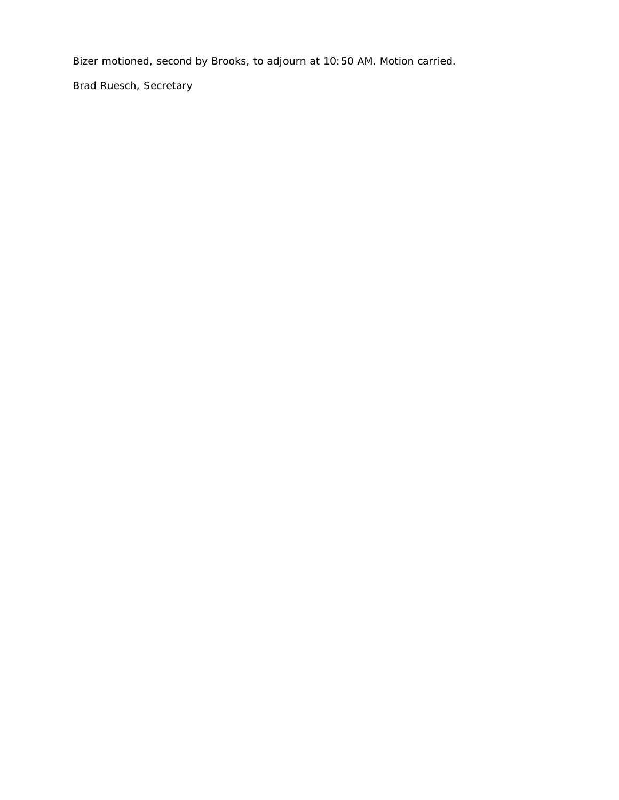Bizer motioned, second by Brooks, to adjourn at 10:50 AM. Motion carried.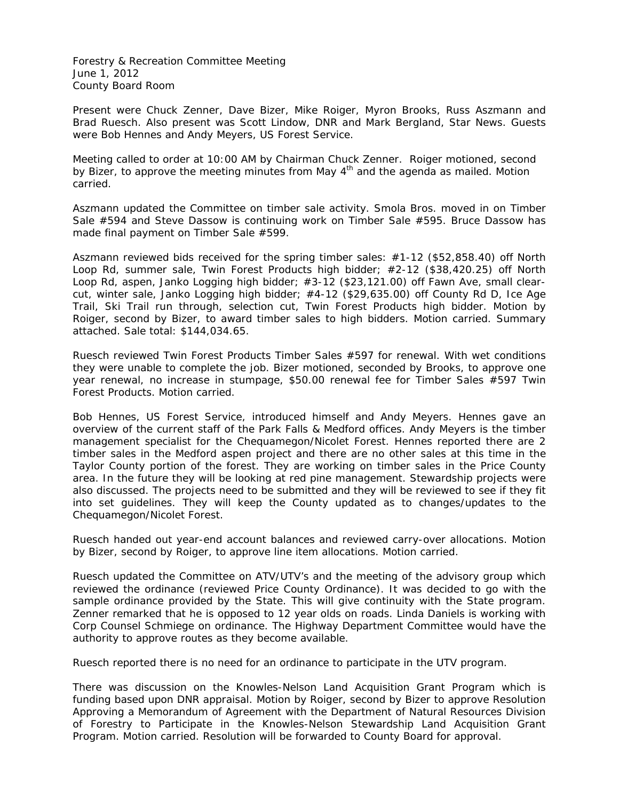Forestry & Recreation Committee Meeting June 1, 2012 County Board Room

Present were Chuck Zenner, Dave Bizer, Mike Roiger, Myron Brooks, Russ Aszmann and Brad Ruesch. Also present was Scott Lindow, DNR and Mark Bergland, Star News. Guests were Bob Hennes and Andy Meyers, US Forest Service.

Meeting called to order at 10:00 AM by Chairman Chuck Zenner. Roiger motioned, second by Bizer, to approve the meeting minutes from May  $4<sup>th</sup>$  and the agenda as mailed. Motion carried.

Aszmann updated the Committee on timber sale activity. Smola Bros. moved in on Timber Sale #594 and Steve Dassow is continuing work on Timber Sale #595. Bruce Dassow has made final payment on Timber Sale #599.

Aszmann reviewed bids received for the spring timber sales: #1-12 (\$52,858.40) off North Loop Rd, summer sale, Twin Forest Products high bidder; #2-12 (\$38,420.25) off North Loop Rd, aspen, Janko Logging high bidder; #3-12 (\$23,121.00) off Fawn Ave, small clearcut, winter sale, Janko Logging high bidder; #4-12 (\$29,635.00) off County Rd D, Ice Age Trail, Ski Trail run through, selection cut, Twin Forest Products high bidder. Motion by Roiger, second by Bizer, to award timber sales to high bidders. Motion carried. Summary attached. Sale total: \$144,034.65.

Ruesch reviewed Twin Forest Products Timber Sales #597 for renewal. With wet conditions they were unable to complete the job. Bizer motioned, seconded by Brooks, to approve one year renewal, no increase in stumpage, \$50.00 renewal fee for Timber Sales #597 Twin Forest Products. Motion carried.

Bob Hennes, US Forest Service, introduced himself and Andy Meyers. Hennes gave an overview of the current staff of the Park Falls & Medford offices. Andy Meyers is the timber management specialist for the Chequamegon/Nicolet Forest. Hennes reported there are 2 timber sales in the Medford aspen project and there are no other sales at this time in the Taylor County portion of the forest. They are working on timber sales in the Price County area. In the future they will be looking at red pine management. Stewardship projects were also discussed. The projects need to be submitted and they will be reviewed to see if they fit into set guidelines. They will keep the County updated as to changes/updates to the Chequamegon/Nicolet Forest.

Ruesch handed out year-end account balances and reviewed carry-over allocations. Motion by Bizer, second by Roiger, to approve line item allocations. Motion carried.

Ruesch updated the Committee on ATV/UTV's and the meeting of the advisory group which reviewed the ordinance (reviewed Price County Ordinance). It was decided to go with the sample ordinance provided by the State. This will give continuity with the State program. Zenner remarked that he is opposed to 12 year olds on roads. Linda Daniels is working with Corp Counsel Schmiege on ordinance. The Highway Department Committee would have the authority to approve routes as they become available.

Ruesch reported there is no need for an ordinance to participate in the UTV program.

There was discussion on the Knowles-Nelson Land Acquisition Grant Program which is funding based upon DNR appraisal. Motion by Roiger, second by Bizer to approve Resolution Approving a Memorandum of Agreement with the Department of Natural Resources Division of Forestry to Participate in the Knowles-Nelson Stewardship Land Acquisition Grant Program. Motion carried. Resolution will be forwarded to County Board for approval.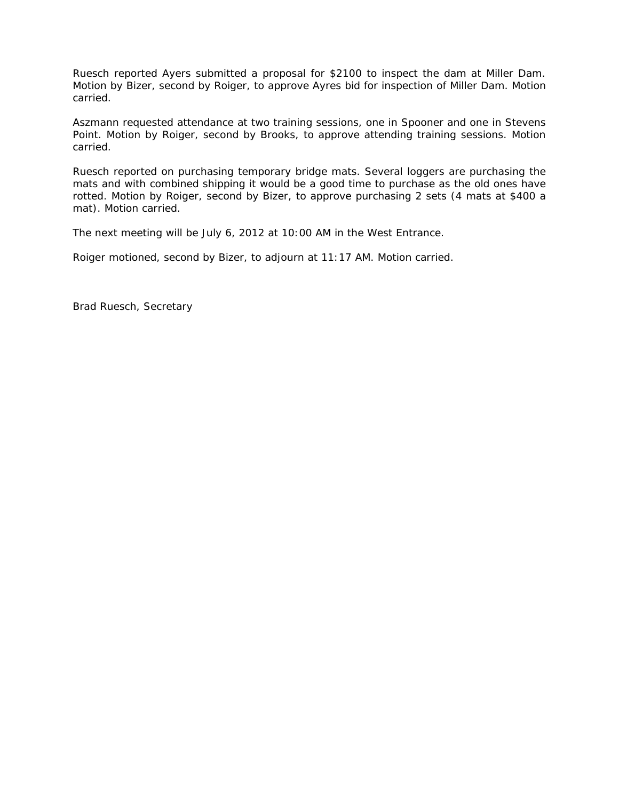Ruesch reported Ayers submitted a proposal for \$2100 to inspect the dam at Miller Dam. Motion by Bizer, second by Roiger, to approve Ayres bid for inspection of Miller Dam. Motion carried.

Aszmann requested attendance at two training sessions, one in Spooner and one in Stevens Point. Motion by Roiger, second by Brooks, to approve attending training sessions. Motion carried.

Ruesch reported on purchasing temporary bridge mats. Several loggers are purchasing the mats and with combined shipping it would be a good time to purchase as the old ones have rotted. Motion by Roiger, second by Bizer, to approve purchasing 2 sets (4 mats at \$400 a mat). Motion carried.

The next meeting will be July 6, 2012 at 10:00 AM in the West Entrance.

Roiger motioned, second by Bizer, to adjourn at 11:17 AM. Motion carried.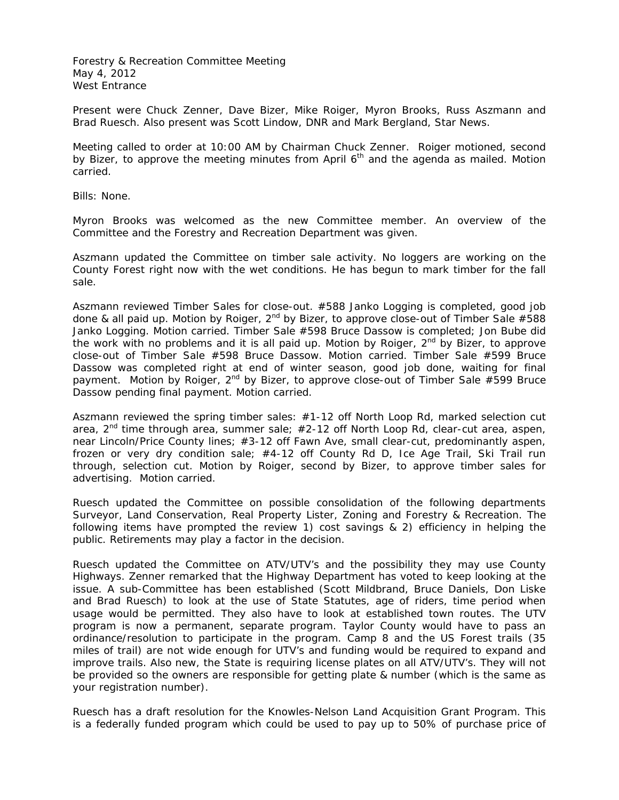Forestry & Recreation Committee Meeting May 4, 2012 West Entrance

Present were Chuck Zenner, Dave Bizer, Mike Roiger, Myron Brooks, Russ Aszmann and Brad Ruesch. Also present was Scott Lindow, DNR and Mark Bergland, Star News.

Meeting called to order at 10:00 AM by Chairman Chuck Zenner. Roiger motioned, second by Bizer, to approve the meeting minutes from April 6<sup>th</sup> and the agenda as mailed. Motion carried.

Bills: None.

Myron Brooks was welcomed as the new Committee member. An overview of the Committee and the Forestry and Recreation Department was given.

Aszmann updated the Committee on timber sale activity. No loggers are working on the County Forest right now with the wet conditions. He has begun to mark timber for the fall sale.

Aszmann reviewed Timber Sales for close-out. #588 Janko Logging is completed, good job done & all paid up. Motion by Roiger,  $2^{nd}$  by Bizer, to approve close-out of Timber Sale #588 Janko Logging. Motion carried. Timber Sale #598 Bruce Dassow is completed; Jon Bube did the work with no problems and it is all paid up. Motion by Roiger,  $2<sup>nd</sup>$  by Bizer, to approve close-out of Timber Sale #598 Bruce Dassow. Motion carried. Timber Sale #599 Bruce Dassow was completed right at end of winter season, good job done, waiting for final payment. Motion by Roiger,  $2^{nd}$  by Bizer, to approve close-out of Timber Sale #599 Bruce Dassow pending final payment. Motion carried.

Aszmann reviewed the spring timber sales: #1-12 off North Loop Rd, marked selection cut area,  $2^{nd}$  time through area, summer sale;  $\#2-12$  off North Loop Rd, clear-cut area, aspen, near Lincoln/Price County lines; #3-12 off Fawn Ave, small clear-cut, predominantly aspen, frozen or very dry condition sale; #4-12 off County Rd D, Ice Age Trail, Ski Trail run through, selection cut. Motion by Roiger, second by Bizer, to approve timber sales for advertising. Motion carried.

Ruesch updated the Committee on possible consolidation of the following departments Surveyor, Land Conservation, Real Property Lister, Zoning and Forestry & Recreation. The following items have prompted the review 1) cost savings & 2) efficiency in helping the public. Retirements may play a factor in the decision.

Ruesch updated the Committee on ATV/UTV's and the possibility they may use County Highways. Zenner remarked that the Highway Department has voted to keep looking at the issue. A sub-Committee has been established (Scott Mildbrand, Bruce Daniels, Don Liske and Brad Ruesch) to look at the use of State Statutes, age of riders, time period when usage would be permitted. They also have to look at established town routes. The UTV program is now a permanent, separate program. Taylor County would have to pass an ordinance/resolution to participate in the program. Camp 8 and the US Forest trails (35 miles of trail) are not wide enough for UTV's and funding would be required to expand and improve trails. Also new, the State is requiring license plates on all ATV/UTV's. They will not be provided so the owners are responsible for getting plate & number (which is the same as your registration number).

Ruesch has a draft resolution for the Knowles-Nelson Land Acquisition Grant Program. This is a federally funded program which could be used to pay up to 50% of purchase price of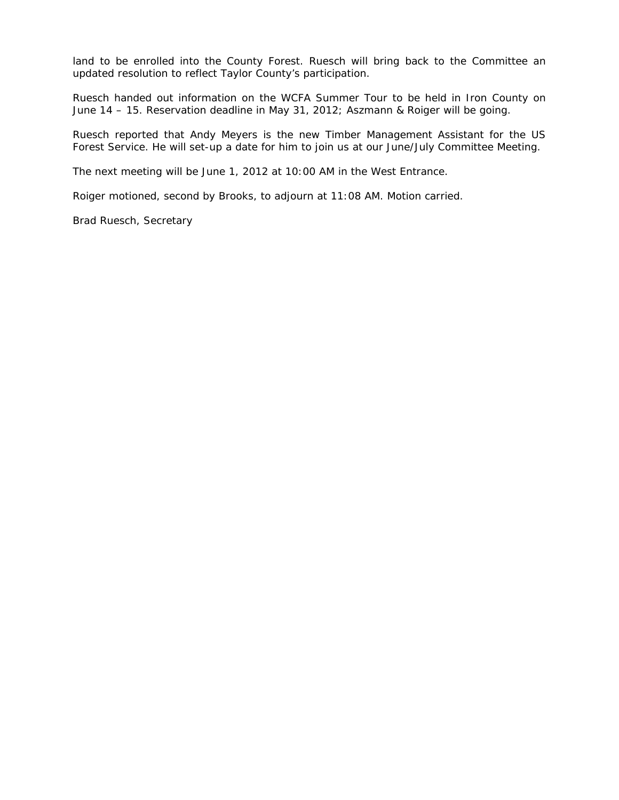land to be enrolled into the County Forest. Ruesch will bring back to the Committee an updated resolution to reflect Taylor County's participation.

Ruesch handed out information on the WCFA Summer Tour to be held in Iron County on June 14 – 15. Reservation deadline in May 31, 2012; Aszmann & Roiger will be going.

Ruesch reported that Andy Meyers is the new Timber Management Assistant for the US Forest Service. He will set-up a date for him to join us at our June/July Committee Meeting.

The next meeting will be June 1, 2012 at 10:00 AM in the West Entrance.

Roiger motioned, second by Brooks, to adjourn at 11:08 AM. Motion carried.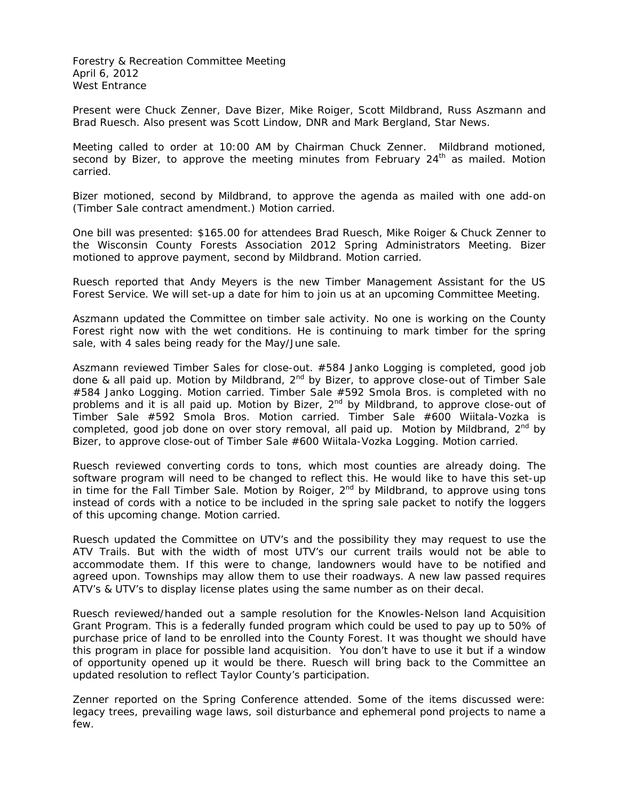Forestry & Recreation Committee Meeting April 6, 2012 West Entrance

Present were Chuck Zenner, Dave Bizer, Mike Roiger, Scott Mildbrand, Russ Aszmann and Brad Ruesch. Also present was Scott Lindow, DNR and Mark Bergland, Star News.

Meeting called to order at 10:00 AM by Chairman Chuck Zenner. Mildbrand motioned, second by Bizer, to approve the meeting minutes from February  $24<sup>th</sup>$  as mailed. Motion carried.

Bizer motioned, second by Mildbrand, to approve the agenda as mailed with one add-on (Timber Sale contract amendment.) Motion carried.

One bill was presented: \$165.00 for attendees Brad Ruesch, Mike Roiger & Chuck Zenner to the Wisconsin County Forests Association 2012 Spring Administrators Meeting. Bizer motioned to approve payment, second by Mildbrand. Motion carried.

Ruesch reported that Andy Meyers is the new Timber Management Assistant for the US Forest Service. We will set-up a date for him to join us at an upcoming Committee Meeting.

Aszmann updated the Committee on timber sale activity. No one is working on the County Forest right now with the wet conditions. He is continuing to mark timber for the spring sale, with 4 sales being ready for the May/June sale.

Aszmann reviewed Timber Sales for close-out. #584 Janko Logging is completed, good job done & all paid up. Motion by Mildbrand,  $2^{nd}$  by Bizer, to approve close-out of Timber Sale #584 Janko Logging. Motion carried. Timber Sale #592 Smola Bros. is completed with no problems and it is all paid up. Motion by Bizer, 2<sup>nd</sup> by Mildbrand, to approve close-out of Timber Sale #592 Smola Bros. Motion carried. Timber Sale #600 Wiitala-Vozka is completed, good job done on over story removal, all paid up. Motion by Mildbrand,  $2^{nd}$  by Bizer, to approve close-out of Timber Sale #600 Wiitala-Vozka Logging. Motion carried.

Ruesch reviewed converting cords to tons, which most counties are already doing. The software program will need to be changed to reflect this. He would like to have this set-up in time for the Fall Timber Sale. Motion by Roiger,  $2^{nd}$  by Mildbrand, to approve using tons instead of cords with a notice to be included in the spring sale packet to notify the loggers of this upcoming change. Motion carried.

Ruesch updated the Committee on UTV's and the possibility they may request to use the ATV Trails. But with the width of most UTV's our current trails would not be able to accommodate them. If this were to change, landowners would have to be notified and agreed upon. Townships may allow them to use their roadways. A new law passed requires ATV's & UTV's to display license plates using the same number as on their decal.

Ruesch reviewed/handed out a sample resolution for the Knowles-Nelson land Acquisition Grant Program. This is a federally funded program which could be used to pay up to 50% of purchase price of land to be enrolled into the County Forest. It was thought we should have this program in place for possible land acquisition. You don't have to use it but if a window of opportunity opened up it would be there. Ruesch will bring back to the Committee an updated resolution to reflect Taylor County's participation.

Zenner reported on the Spring Conference attended. Some of the items discussed were: legacy trees, prevailing wage laws, soil disturbance and ephemeral pond projects to name a few.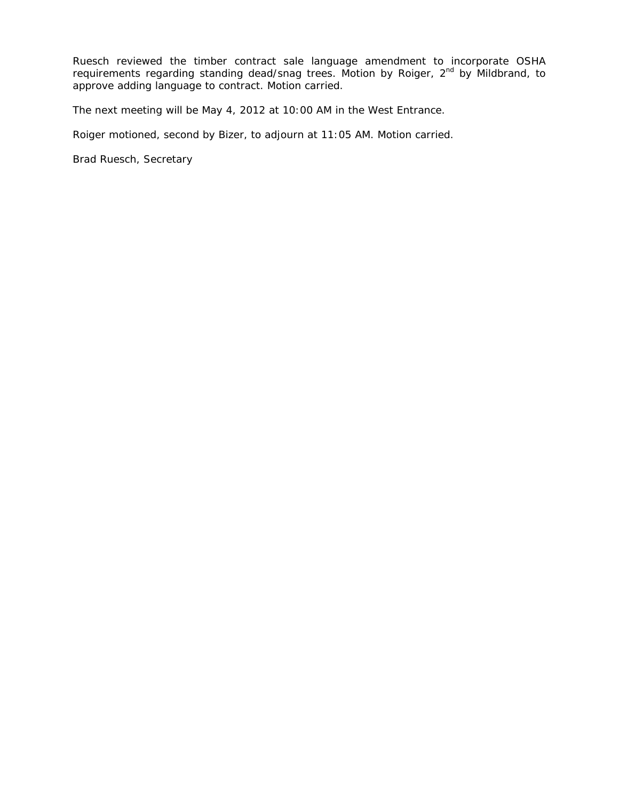Ruesch reviewed the timber contract sale language amendment to incorporate OSHA requirements regarding standing dead/snag trees. Motion by Roiger, 2<sup>nd</sup> by Mildbrand, to approve adding language to contract. Motion carried.

The next meeting will be May 4, 2012 at 10:00 AM in the West Entrance.

Roiger motioned, second by Bizer, to adjourn at 11:05 AM. Motion carried.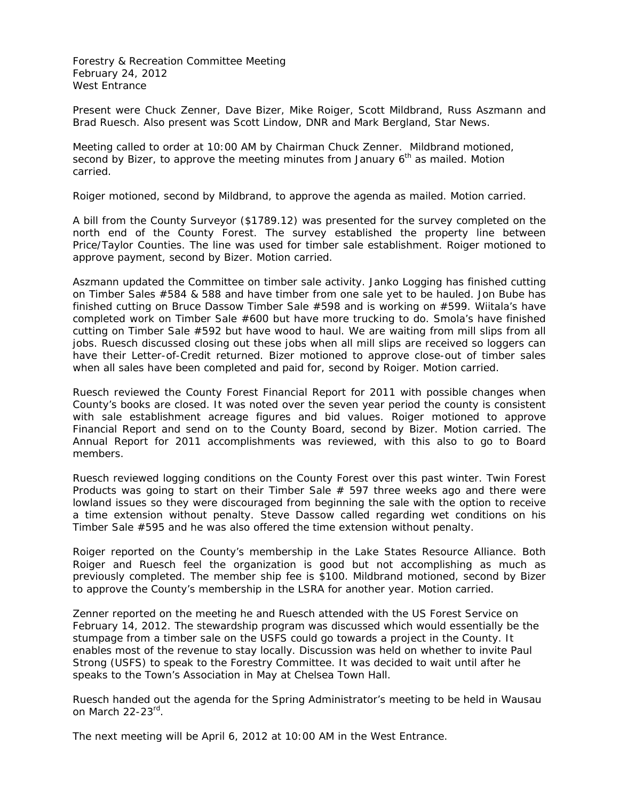Forestry & Recreation Committee Meeting February 24, 2012 West Entrance

Present were Chuck Zenner, Dave Bizer, Mike Roiger, Scott Mildbrand, Russ Aszmann and Brad Ruesch. Also present was Scott Lindow, DNR and Mark Bergland, Star News.

Meeting called to order at 10:00 AM by Chairman Chuck Zenner. Mildbrand motioned, second by Bizer, to approve the meeting minutes from January  $6<sup>th</sup>$  as mailed. Motion carried.

Roiger motioned, second by Mildbrand, to approve the agenda as mailed. Motion carried.

A bill from the County Surveyor (\$1789.12) was presented for the survey completed on the north end of the County Forest. The survey established the property line between Price/Taylor Counties. The line was used for timber sale establishment. Roiger motioned to approve payment, second by Bizer. Motion carried.

Aszmann updated the Committee on timber sale activity. Janko Logging has finished cutting on Timber Sales #584 & 588 and have timber from one sale yet to be hauled. Jon Bube has finished cutting on Bruce Dassow Timber Sale #598 and is working on #599. Wiitala's have completed work on Timber Sale #600 but have more trucking to do. Smola's have finished cutting on Timber Sale #592 but have wood to haul. We are waiting from mill slips from all jobs. Ruesch discussed closing out these jobs when all mill slips are received so loggers can have their Letter-of-Credit returned. Bizer motioned to approve close-out of timber sales when all sales have been completed and paid for, second by Roiger. Motion carried.

Ruesch reviewed the County Forest Financial Report for 2011 with possible changes when County's books are closed. It was noted over the seven year period the county is consistent with sale establishment acreage figures and bid values. Roiger motioned to approve Financial Report and send on to the County Board, second by Bizer. Motion carried. The Annual Report for 2011 accomplishments was reviewed, with this also to go to Board members.

Ruesch reviewed logging conditions on the County Forest over this past winter. Twin Forest Products was going to start on their Timber Sale  $#$  597 three weeks ago and there were lowland issues so they were discouraged from beginning the sale with the option to receive a time extension without penalty. Steve Dassow called regarding wet conditions on his Timber Sale #595 and he was also offered the time extension without penalty.

Roiger reported on the County's membership in the Lake States Resource Alliance. Both Roiger and Ruesch feel the organization is good but not accomplishing as much as previously completed. The member ship fee is \$100. Mildbrand motioned, second by Bizer to approve the County's membership in the LSRA for another year. Motion carried.

Zenner reported on the meeting he and Ruesch attended with the US Forest Service on February 14, 2012. The stewardship program was discussed which would essentially be the stumpage from a timber sale on the USFS could go towards a project in the County. It enables most of the revenue to stay locally. Discussion was held on whether to invite Paul Strong (USFS) to speak to the Forestry Committee. It was decided to wait until after he speaks to the Town's Association in May at Chelsea Town Hall.

Ruesch handed out the agenda for the Spring Administrator's meeting to be held in Wausau on March 22-23rd.

The next meeting will be April 6, 2012 at 10:00 AM in the West Entrance.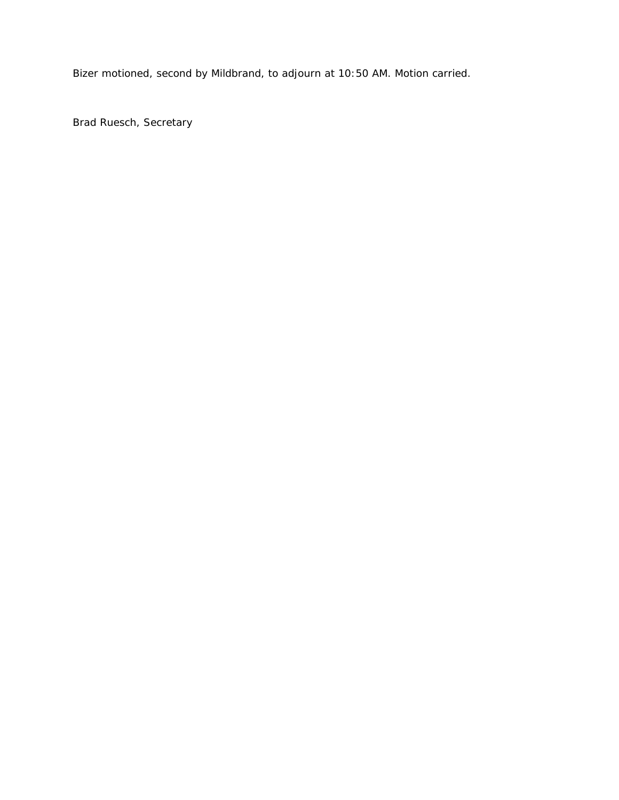Bizer motioned, second by Mildbrand, to adjourn at 10:50 AM. Motion carried.